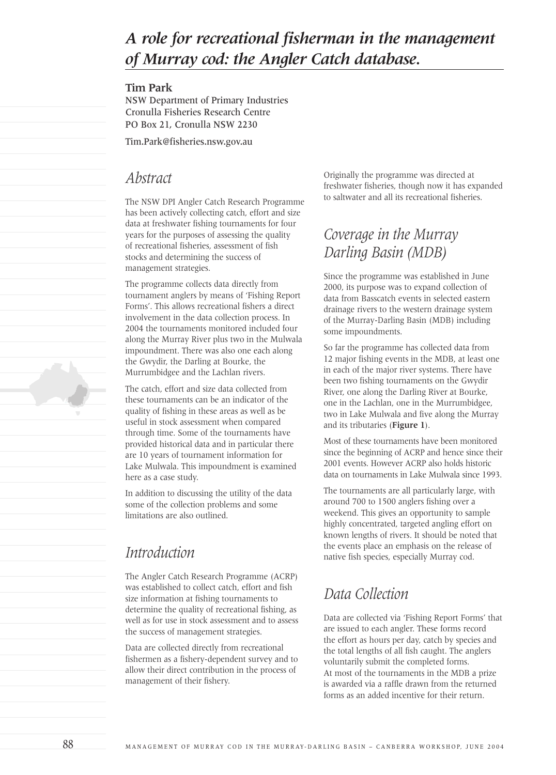# *A role for recreational fisherman in the management of Murray cod: the Angler Catch database.*

#### **Tim Park**

NSW Department of Primary Industries Cronulla Fisheries Research Centre PO Box 21, Cronulla NSW 2230

Tim.Park@fisheries.nsw.gov.au

### *Abstract*

The NSW DPI Angler Catch Research Programme has been actively collecting catch, effort and size data at freshwater fishing tournaments for four years for the purposes of assessing the quality of recreational fisheries, assessment of fish stocks and determining the success of management strategies.

The programme collects data directly from tournament anglers by means of 'Fishing Report Forms'. This allows recreational fishers a direct involvement in the data collection process. In 2004 the tournaments monitored included four along the Murray River plus two in the Mulwala impoundment. There was also one each along the Gwydir, the Darling at Bourke, the Murrumbidgee and the Lachlan rivers.

The catch, effort and size data collected from these tournaments can be an indicator of the quality of fishing in these areas as well as be useful in stock assessment when compared through time. Some of the tournaments have provided historical data and in particular there are 10 years of tournament information for Lake Mulwala. This impoundment is examined here as a case study.

In addition to discussing the utility of the data some of the collection problems and some limitations are also outlined.

## *Introduction*

The Angler Catch Research Programme (ACRP) was established to collect catch, effort and fish size information at fishing tournaments to determine the quality of recreational fishing, as well as for use in stock assessment and to assess the success of management strategies.

Data are collected directly from recreational fishermen as a fishery-dependent survey and to allow their direct contribution in the process of management of their fishery.

Originally the programme was directed at freshwater fisheries, though now it has expanded to saltwater and all its recreational fisheries.

# *Coverage in the Murray Darling Basin (MDB)*

Since the programme was established in June 2000, its purpose was to expand collection of data from Basscatch events in selected eastern drainage rivers to the western drainage system of the Murray-Darling Basin (MDB) including some impoundments.

So far the programme has collected data from 12 major fishing events in the MDB, at least one in each of the major river systems. There have been two fishing tournaments on the Gwydir River, one along the Darling River at Bourke, one in the Lachlan, one in the Murrumbidgee, two in Lake Mulwala and five along the Murray and its tributaries (**Figure 1**).

Most of these tournaments have been monitored since the beginning of ACRP and hence since their 2001 events. However ACRP also holds historic data on tournaments in Lake Mulwala since 1993.

The tournaments are all particularly large, with around 700 to 1500 anglers fishing over a weekend. This gives an opportunity to sample highly concentrated, targeted angling effort on known lengths of rivers. It should be noted that the events place an emphasis on the release of native fish species, especially Murray cod.

# *Data Collection*

Data are collected via 'Fishing Report Forms' that are issued to each angler. These forms record the effort as hours per day, catch by species and the total lengths of all fish caught. The anglers voluntarily submit the completed forms. At most of the tournaments in the MDB a prize is awarded via a raffle drawn from the returned forms as an added incentive for their return.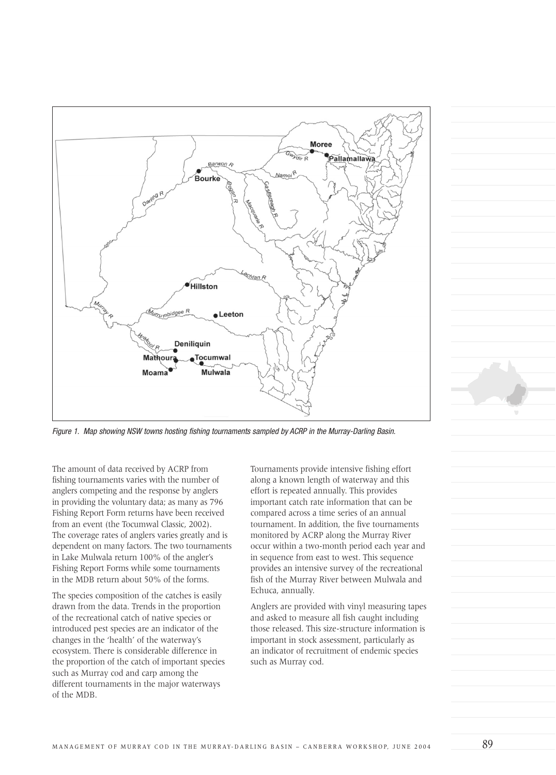

Figure 1. Map showing NSW towns hosting fishing tournaments sampled by ACRP in the Murray-Darling Basin.

The amount of data received by ACRP from fishing tournaments varies with the number of anglers competing and the response by anglers in providing the voluntary data; as many as 796 Fishing Report Form returns have been received from an event (the Tocumwal Classic, 2002). The coverage rates of anglers varies greatly and is dependent on many factors. The two tournaments in Lake Mulwala return 100% of the angler's Fishing Report Forms while some tournaments in the MDB return about 50% of the forms.

The species composition of the catches is easily drawn from the data. Trends in the proportion of the recreational catch of native species or introduced pest species are an indicator of the changes in the 'health' of the waterway's ecosystem. There is considerable difference in the proportion of the catch of important species such as Murray cod and carp among the different tournaments in the major waterways of the MDB.

Tournaments provide intensive fishing effort along a known length of waterway and this effort is repeated annually. This provides important catch rate information that can be compared across a time series of an annual tournament. In addition, the five tournaments monitored by ACRP along the Murray River occur within a two-month period each year and in sequence from east to west. This sequence provides an intensive survey of the recreational fish of the Murray River between Mulwala and Echuca, annually.

Anglers are provided with vinyl measuring tapes and asked to measure all fish caught including those released. This size-structure information is important in stock assessment, particularly as an indicator of recruitment of endemic species such as Murray cod.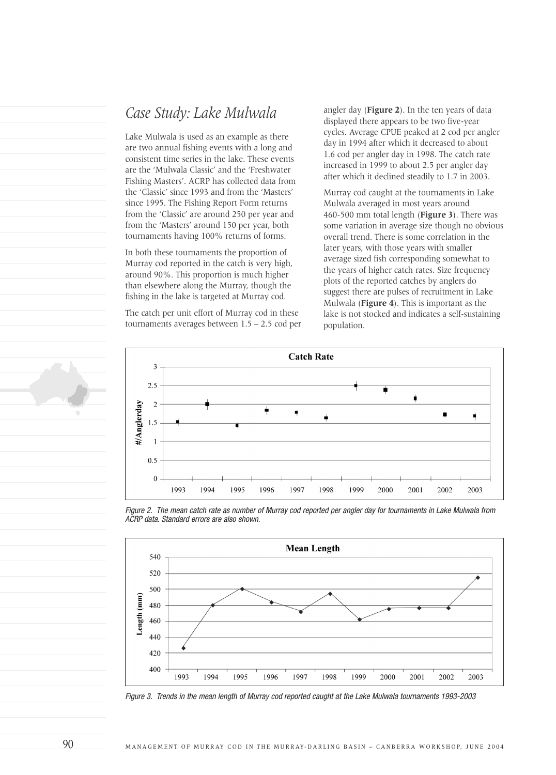### *Case Study: Lake Mulwala*

Lake Mulwala is used as an example as there are two annual fishing events with a long and consistent time series in the lake. These events are the 'Mulwala Classic' and the 'Freshwater Fishing Masters'. ACRP has collected data from the 'Classic' since 1993 and from the 'Masters' since 1995. The Fishing Report Form returns from the 'Classic' are around 250 per year and from the 'Masters' around 150 per year, both tournaments having 100% returns of forms.

In both these tournaments the proportion of Murray cod reported in the catch is very high, around 90%. This proportion is much higher than elsewhere along the Murray, though the fishing in the lake is targeted at Murray cod.

The catch per unit effort of Murray cod in these tournaments averages between 1.5 – 2.5 cod per angler day (**Figure 2**). In the ten years of data displayed there appears to be two five-year cycles. Average CPUE peaked at 2 cod per angler day in 1994 after which it decreased to about 1.6 cod per angler day in 1998. The catch rate increased in 1999 to about 2.5 per angler day after which it declined steadily to 1.7 in 2003.

Murray cod caught at the tournaments in Lake Mulwala averaged in most years around 460-500 mm total length (**Figure 3**). There was some variation in average size though no obvious overall trend. There is some correlation in the later years, with those years with smaller average sized fish corresponding somewhat to the years of higher catch rates. Size frequency plots of the reported catches by anglers do suggest there are pulses of recruitment in Lake Mulwala (**Figure 4**). This is important as the lake is not stocked and indicates a self-sustaining population.



Figure 2. The mean catch rate as number of Murray cod reported per angler day for tournaments in Lake Mulwala from ACRP data. Standard errors are also shown.



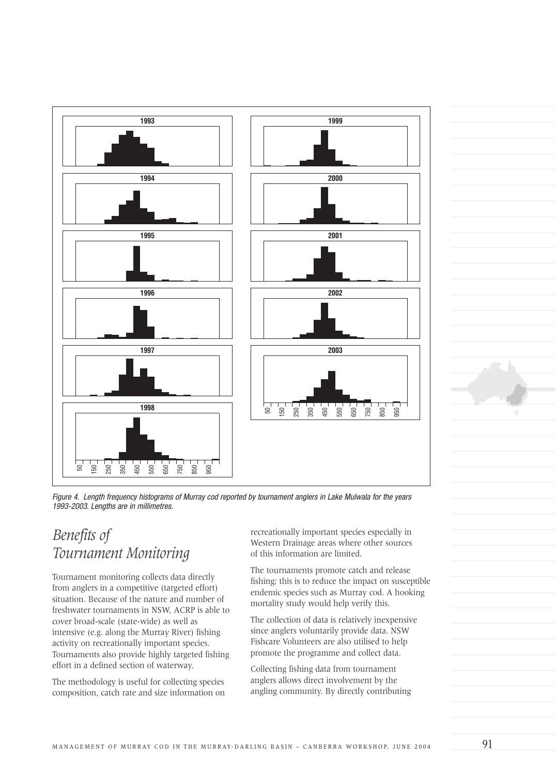

Figure 4. Length frequency histograms of Murray cod reported by tournament anglers in Lake Mulwala for the years

# *Benefits of Tournament Monitoring*

Tournament monitoring collects data directly from anglers in a competitive (targeted effort) situation. Because of the nature and number of freshwater tournaments in NSW, ACRP is able to cover broad-scale (state-wide) as well as intensive (e.g. along the Murray River) fishing activity on recreationally important species. Tournaments also provide highly targeted fishing effort in a defined section of waterway.

The methodology is useful for collecting species composition, catch rate and size information on recreationally important species especially in Western Drainage areas where other sources of this information are limited.

The tournaments promote catch and release fishing; this is to reduce the impact on susceptible endemic species such as Murray cod. A hooking mortality study would help verify this.

The collection of data is relatively inexpensive since anglers voluntarily provide data. NSW Fishcare Volunteers are also utilised to help promote the programme and collect data.

Collecting fishing data from tournament anglers allows direct involvement by the angling community. By directly contributing